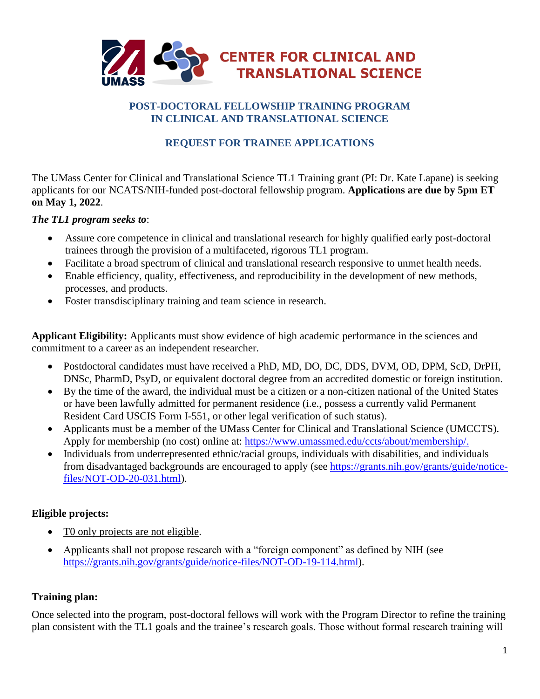

### **POST-DOCTORAL FELLOWSHIP TRAINING PROGRAM IN CLINICAL AND TRANSLATIONAL SCIENCE**

# **REQUEST FOR TRAINEE APPLICATIONS**

The UMass Center for Clinical and Translational Science TL1 Training grant (PI: Dr. Kate Lapane) is seeking applicants for our NCATS/NIH-funded post-doctoral fellowship program. **Applications are due by 5pm ET on May 1, 2022**.

#### *The TL1 program seeks to*:

- Assure core competence in clinical and translational research for highly qualified early post-doctoral trainees through the provision of a multifaceted, rigorous TL1 program.
- Facilitate a broad spectrum of clinical and translational research responsive to unmet health needs.
- Enable efficiency, quality, effectiveness, and reproducibility in the development of new methods, processes, and products.
- Foster transdisciplinary training and team science in research.

**Applicant Eligibility:** Applicants must show evidence of high academic performance in the sciences and commitment to a career as an independent researcher.

- Postdoctoral candidates must have received a PhD, MD, DO, DC, DDS, DVM, OD, DPM, ScD, DrPH, DNSc, PharmD, PsyD, or equivalent doctoral degree from an accredited domestic or foreign institution.
- By the time of the award, the individual must be a citizen or a non-citizen national of the United States or have been lawfully admitted for permanent residence (i.e., possess a currently valid Permanent Resident Card USCIS Form I-551, or other legal verification of such status).
- Applicants must be a member of the UMass Center for Clinical and Translational Science (UMCCTS). Apply for membership (no cost) online at: [https://www.umassmed.edu/ccts/about/membership/.](https://www.umassmed.edu/ccts/about/membership/)
- Individuals from underrepresented ethnic/racial groups, individuals with disabilities, and individuals from disadvantaged backgrounds are encouraged to apply (see [https://grants.nih.gov/grants/guide/notice](https://grants.nih.gov/grants/guide/notice-files/NOT-OD-20-031.html)[files/NOT-OD-20-031.html\)](https://grants.nih.gov/grants/guide/notice-files/NOT-OD-20-031.html).

## **Eligible projects:**

- T0 only projects are not eligible.
- Applicants shall not propose research with a "foreign component" as defined by NIH (see [https://grants.nih.gov/grants/guide/notice-files/NOT-OD-19-114.html\)](https://grants.nih.gov/grants/guide/notice-files/NOT-OD-19-114.html).

## **Training plan:**

Once selected into the program, post-doctoral fellows will work with the Program Director to refine the training plan consistent with the TL1 goals and the trainee's research goals. Those without formal research training will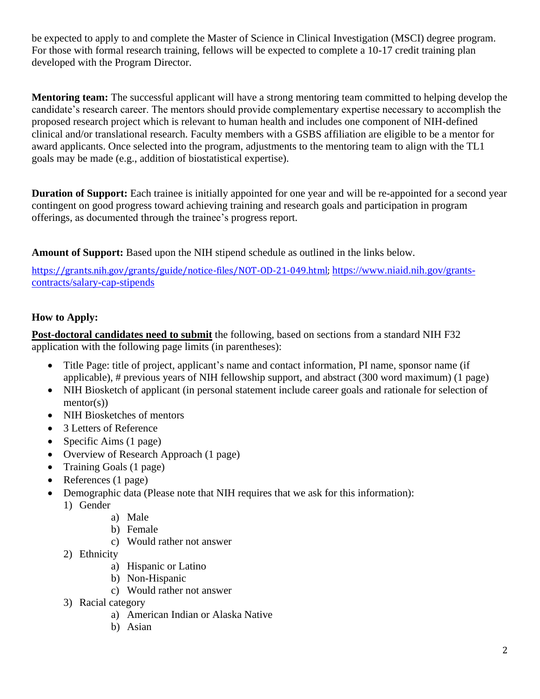be expected to apply to and complete the Master of Science in Clinical Investigation (MSCI) degree program. For those with formal research training, fellows will be expected to complete a 10-17 credit training plan developed with the Program Director.

**Mentoring team:** The successful applicant will have a strong mentoring team committed to helping develop the candidate's research career. The mentors should provide complementary expertise necessary to accomplish the proposed research project which is relevant to human health and includes one component of NIH-defined clinical and/or translational research. Faculty members with a GSBS affiliation are eligible to be a mentor for award applicants. Once selected into the program, adjustments to the mentoring team to align with the TL1 goals may be made (e.g., addition of biostatistical expertise).

**Duration of Support:** Each trainee is initially appointed for one year and will be re-appointed for a second year contingent on good progress toward achieving training and research goals and participation in program offerings, as documented through the trainee's progress report.

**Amount of Support:** Based upon the NIH stipend schedule as outlined in the links below.

[https://grants.nih.gov/grants/guide/notice-files/NOT-OD-21-049.html;](https://grants.nih.gov/grants/guide/notice-files/NOT-OD-21-049.html) [https://www.niaid.nih.gov/grants](https://www.niaid.nih.gov/grants-contracts/salary-cap-stipends)[contracts/salary-cap-stipends](https://www.niaid.nih.gov/grants-contracts/salary-cap-stipends)

## **How to Apply:**

**Post-doctoral candidates need to submit** the following, based on sections from a standard NIH F32 application with the following page limits (in parentheses):

- Title Page: title of project, applicant's name and contact information, PI name, sponsor name (if applicable), # previous years of NIH fellowship support, and abstract (300 word maximum) (1 page)
- NIH Biosketch of applicant (in personal statement include career goals and rationale for selection of  $mentor(s)$ )
- NIH Biosketches of mentors
- 3 Letters of Reference
- Specific Aims (1 page)
- Overview of Research Approach (1 page)
- Training Goals (1 page)
- References (1 page)
- Demographic data (Please note that NIH requires that we ask for this information):
	- 1) Gender
		- a) Male
		- b) Female
		- c) Would rather not answer
	- 2) Ethnicity
		- a) Hispanic or Latino
		- b) Non-Hispanic
		- c) Would rather not answer
	- 3) Racial category
		- a) American Indian or Alaska Native
		- b) Asian